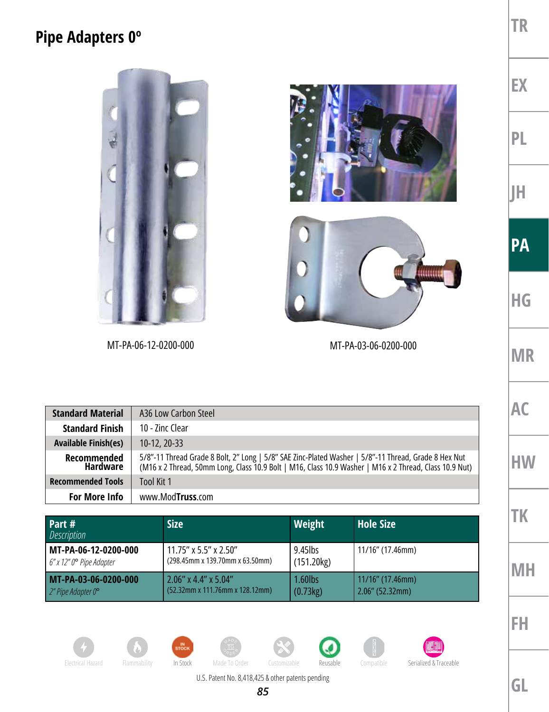## **Pipe Adapters 0º**



| <b>Standard Material</b>       | A36 Low Carbon Steel                                                                                                                                                                                           |
|--------------------------------|----------------------------------------------------------------------------------------------------------------------------------------------------------------------------------------------------------------|
| <b>Standard Finish</b>         | 10 - Zinc Clear                                                                                                                                                                                                |
| <b>Available Finish(es)</b>    | $10-12, 20-33$                                                                                                                                                                                                 |
| Recommended<br><b>Hardware</b> | 5/8"-11 Thread Grade 8 Bolt, 2" Long   5/8" SAE Zinc-Plated Washer   5/8"-11 Thread, Grade 8 Hex Nut<br>(M16 x 2 Thread, 50mm Long, Class 10.9 Bolt   M16, Class 10.9 Washer   M16 x 2 Thread, Class 10.9 Nut) |
| <b>Recommended Tools</b>       | <b>Tool Kit 1</b>                                                                                                                                                                                              |
| <b>For More Info</b>           | www.Mod <b>Truss</b> .com                                                                                                                                                                                      |

| Part #<br>Description    | <b>Size</b>                        | Weight     | <b>Hole Size</b>    |
|--------------------------|------------------------------------|------------|---------------------|
| MT-PA-06-12-0200-000     | 11.75" x 5.5" x 2.50"              | $9.45$ lbs | 11/16" (17.46mm)    |
| 6" x 12" 0° Pipe Adapter | (298.45mm x 139.70mm x 63.50mm)    | (151.20kg) |                     |
| MT-PA-03-06-0200-000     | $2.06''$ x 4.4" x 5.04"            | 1.60lbs    | $11/16$ " (17.46mm) |
| 2" Pipe Adapter 0°       | $(52.32$ mm x 111.76mm x 128.12mm) | (0.73kg)   | $2.06''$ (52.32mm)  |













**EX**

**TR**

**PL**

**JH**

**PA**

**HG**

**MR**

**AC**

**HW**

**TK**

**MH**

**FH**

U.S. Patent No. 8,418,425 & other patents pending

*85*